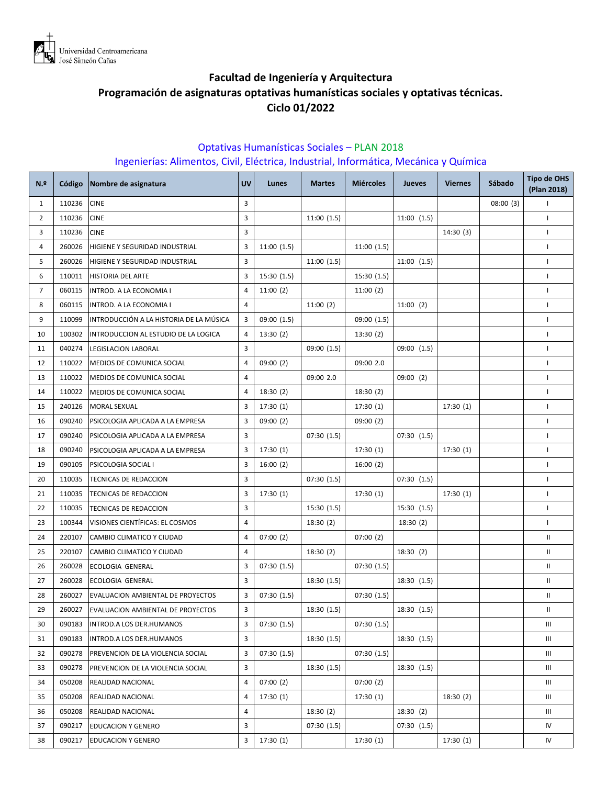

# **Facultad de Ingeniería y Arquitectura Programación de asignaturas optativas humanísticas sociales y optativas técnicas. Ciclo 01/2022**

### Optativas Humanísticas Sociales – PLAN 2018 Ingenierías: Alimentos, Civil, Eléctrica, Industrial, Informática, Mecánica y Química

| N <sub>2</sub> | Código | Nombre de asignatura                    | <b>UV</b> | Lunes       | <b>Martes</b> | <b>Miércoles</b> | <b>Jueves</b> | <b>Viernes</b> | Sábado   | <b>Tipo de OHS</b><br>(Plan 2018) |
|----------------|--------|-----------------------------------------|-----------|-------------|---------------|------------------|---------------|----------------|----------|-----------------------------------|
| $\mathbf{1}$   | 110236 | <b>CINE</b>                             | 3         |             |               |                  |               |                | 08:00(3) | $\mathbf{I}$                      |
| $\overline{2}$ | 110236 | <b>CINE</b>                             | 3         |             | 11:00(1.5)    |                  | 11:00(1.5)    |                |          | $\mathbf{I}$                      |
| 3              | 110236 | <b>CINE</b>                             | 3         |             |               |                  |               | 14:30(3)       |          | $\mathbf{I}$                      |
| 4              | 260026 | HIGIENE Y SEGURIDAD INDUSTRIAL          | 3         | 11:00(1.5)  |               | 11:00(1.5)       |               |                |          | $\mathbf{I}$                      |
| 5              | 260026 | HIGIENE Y SEGURIDAD INDUSTRIAL          | 3         |             | 11:00(1.5)    |                  | 11:00(1.5)    |                |          | $\mathsf{L}$                      |
| 6              | 110011 | <b>HISTORIA DEL ARTE</b>                | 3         | 15:30(1.5)  |               | 15:30 (1.5)      |               |                |          | $\mathbf{I}$                      |
| $\overline{7}$ | 060115 | INTROD. A LA ECONOMIA I                 | 4         | 11:00(2)    |               | 11:00(2)         |               |                |          | $\mathbf{I}$                      |
| 8              | 060115 | INTROD. A LA ECONOMIA I                 | 4         |             | 11:00(2)      |                  | 11:00(2)      |                |          | $\mathsf{L}$                      |
| 9              | 110099 | INTRODUCCIÓN A LA HISTORIA DE LA MÚSICA | 3         | 09:00 (1.5) |               | 09:00 (1.5)      |               |                |          | $\mathbf{I}$                      |
| 10             | 100302 | INTRODUCCION AL ESTUDIO DE LA LOGICA    | 4         | 13:30(2)    |               | 13:30(2)         |               |                |          | $\mathbf{I}$                      |
| 11             | 040274 | LEGISLACION LABORAL                     | 3         |             | 09:00 (1.5)   |                  | 09:00 (1.5)   |                |          | $\mathsf{L}$                      |
| 12             | 110022 | MEDIOS DE COMUNICA SOCIAL               | 4         | 09:00(2)    |               | 09:00 2.0        |               |                |          | $\mathbf{I}$                      |
| 13             | 110022 | MEDIOS DE COMUNICA SOCIAL               | 4         |             | 09:00 2.0     |                  | 09:00(2)      |                |          | $\mathbf{I}$                      |
| 14             | 110022 | MEDIOS DE COMUNICA SOCIAL               | 4         | 18:30(2)    |               | 18:30(2)         |               |                |          | $\mathsf{L}$                      |
| 15             | 240126 | <b>MORAL SEXUAL</b>                     | 3         | 17:30(1)    |               | 17:30(1)         |               | 17:30(1)       |          | $\mathbf{I}$                      |
| 16             | 090240 | PSICOLOGIA APLICADA A LA EMPRESA        | 3         | 09:00(2)    |               | 09:00(2)         |               |                |          | $\mathbf{I}$                      |
| 17             | 090240 | PSICOLOGIA APLICADA A LA EMPRESA        | 3         |             | 07:30(1.5)    |                  | 07:30(1.5)    |                |          | $\mathbf{I}$                      |
| 18             | 090240 | PSICOLOGIA APLICADA A LA EMPRESA        | 3         | 17:30(1)    |               | 17:30(1)         |               | 17:30(1)       |          | $\mathbf{I}$                      |
| 19             | 090105 | PSICOLOGIA SOCIAL I                     | 3         | 16:00(2)    |               | 16:00(2)         |               |                |          | $\mathbf{I}$                      |
| 20             | 110035 | TECNICAS DE REDACCION                   | 3         |             | 07:30(1.5)    |                  | 07:30(1.5)    |                |          | $\mathbf{I}$                      |
| 21             | 110035 | TECNICAS DE REDACCION                   | 3         | 17:30(1)    |               | 17:30(1)         |               | 17:30(1)       |          | $\mathbf{I}$                      |
| 22             | 110035 | TECNICAS DE REDACCION                   | 3         |             | 15:30(1.5)    |                  | 15:30 (1.5)   |                |          | $\mathbf{I}$                      |
| 23             | 100344 | VISIONES CIENTÍFICAS: EL COSMOS         | 4         |             | 18:30(2)      |                  | 18:30(2)      |                |          | $\mathbf{I}$                      |
| 24             | 220107 | CAMBIO CLIMATICO Y CIUDAD               | 4         | 07:00(2)    |               | 07:00(2)         |               |                |          | Ш                                 |
| 25             | 220107 | CAMBIO CLIMATICO Y CIUDAD               | 4         |             | 18:30(2)      |                  | 18:30(2)      |                |          | Ш.                                |
| 26             | 260028 | ECOLOGIA GENERAL                        | 3         | 07:30(1.5)  |               | 07:30(1.5)       |               |                |          | Ш.                                |
| 27             | 260028 | ECOLOGIA GENERAL                        | 3         |             | 18:30 (1.5)   |                  | 18:30 (1.5)   |                |          | Ш.                                |
| 28             | 260027 | EVALUACION AMBIENTAL DE PROYECTOS       | 3         | 07:30(1.5)  |               | 07:30(1.5)       |               |                |          | Ш.                                |
| 29             | 260027 | EVALUACION AMBIENTAL DE PROYECTOS       | 3         |             | 18:30(1.5)    |                  | 18:30 (1.5)   |                |          | Ш                                 |
| 30             | 090183 | INTROD.A LOS DER.HUMANOS                | 3         | 07:30(1.5)  |               | 07:30(1.5)       |               |                |          | Ш                                 |
| 31             | 090183 | INTROD.A LOS DER.HUMANOS                | 3         |             | 18:30 (1.5)   |                  | 18:30 (1.5)   |                |          | Ш                                 |
| 32             | 090278 | PREVENCION DE LA VIOLENCIA SOCIAL       | 3         | 07:30(1.5)  |               | 07:30(1.5)       |               |                |          | Ш                                 |
| 33             | 090278 | PREVENCION DE LA VIOLENCIA SOCIAL       | 3         |             | 18:30 (1.5)   |                  | 18:30(1.5)    |                |          | Ш                                 |
| 34             | 050208 | REALIDAD NACIONAL                       | 4         | 07:00(2)    |               | 07:00(2)         |               |                |          | Ш                                 |
| 35             | 050208 | REALIDAD NACIONAL                       | 4         | 17:30(1)    |               | 17:30(1)         |               | 18:30(2)       |          | Ш                                 |
| 36             | 050208 | REALIDAD NACIONAL                       | 4         |             | 18:30(2)      |                  | 18:30(2)      |                |          | Ш                                 |
| 37             | 090217 | EDUCACION Y GENERO                      | 3         |             | 07:30(1.5)    |                  | 07:30(1.5)    |                |          | IV                                |
| 38             | 090217 | <b>EDUCACION Y GENERO</b>               | 3         | 17:30(1)    |               | 17:30(1)         |               | 17:30 (1)      |          | IV                                |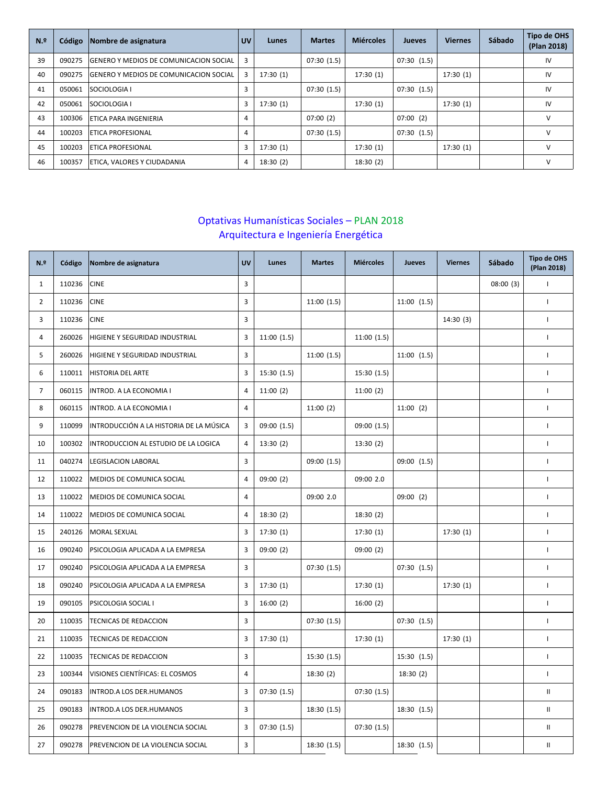| N <sub>2</sub> | Código | Nombre de asignatura                          | <b>UV</b> | Lunes     | <b>Martes</b> | <b>Miércoles</b> | <b>Jueves</b> | <b>Viernes</b> | Sábado | <b>Tipo de OHS</b><br>(Plan 2018) |
|----------------|--------|-----------------------------------------------|-----------|-----------|---------------|------------------|---------------|----------------|--------|-----------------------------------|
| 39             | 090275 | <b>SENERO Y MEDIOS DE COMUNICACION SOCIAL</b> | 3         |           | 07:30(1.5)    |                  | 07:30(1.5)    |                |        | IV                                |
| 40             | 090275 | <b>SENERO Y MEDIOS DE COMUNICACION SOCIAL</b> | 3         | 17:30(1)  |               | 17:30(1)         |               | 17:30(1)       |        | IV                                |
| 41             | 050061 | <b>SOCIOLOGIA I</b>                           | 3         |           | 07:30(1.5)    |                  | 07:30(1.5)    |                |        | IV                                |
| 42             | 050061 | <b>SOCIOLOGIA I</b>                           | 3         | 17:30(1)  |               | 17:30(1)         |               | 17:30(1)       |        | IV                                |
| 43             | 100306 | <b>ETICA PARA INGENIERIA</b>                  | 4         |           | 07:00(2)      |                  | 07:00(2)      |                |        | v                                 |
| 44             | 100203 | <b>LETICA PROFESIONAL</b>                     | 4         |           | 07:30(1.5)    |                  | 07:30(1.5)    |                |        | v                                 |
| 45             | 100203 | <b>LETICA PROFESIONAL</b>                     | 3         | 17:30(1)  |               | 17:30(1)         |               | 17:30(1)       |        | $\vee$                            |
| 46             | 100357 | ETICA, VALORES Y CIUDADANIA                   | 4         | 18:30 (2) |               | 18:30(2)         |               |                |        | ν                                 |

## Optativas Humanísticas Sociales – PLAN 2018 Arquitectura e Ingeniería Energética

| N.º            | Código | Nombre de asignatura                    | <b>UV</b>      | Lunes       | <b>Martes</b> | <b>Miércoles</b> | Jueves      | <b>Viernes</b> | Sábado   | <b>Tipo de OHS</b><br>(Plan 2018) |
|----------------|--------|-----------------------------------------|----------------|-------------|---------------|------------------|-------------|----------------|----------|-----------------------------------|
| $\mathbf{1}$   | 110236 | <b>CINE</b>                             | 3              |             |               |                  |             |                | 08:00(3) | $\overline{1}$                    |
| $\overline{2}$ | 110236 | <b>CINE</b>                             | $\overline{3}$ |             | 11:00(1.5)    |                  | 11:00(1.5)  |                |          | $\mathbf{I}$                      |
| 3              | 110236 | <b>CINE</b>                             | $\overline{3}$ |             |               |                  |             | 14:30(3)       |          | $\mathbf{I}$                      |
| $\overline{4}$ | 260026 | HIGIENE Y SEGURIDAD INDUSTRIAL          | $\overline{3}$ | 11:00(1.5)  |               | 11:00(1.5)       |             |                |          | $\mathbf{I}$                      |
| 5              | 260026 | HIGIENE Y SEGURIDAD INDUSTRIAL          | $\overline{3}$ |             | 11:00(1.5)    |                  | 11:00(1.5)  |                |          | $\mathbf{I}$                      |
| 6              | 110011 | HISTORIA DEL ARTE                       | $\overline{3}$ | 15:30(1.5)  |               | 15:30 (1.5)      |             |                |          | $\overline{1}$                    |
| $\overline{7}$ | 060115 | INTROD. A LA ECONOMIA I                 | 4              | 11:00(2)    |               | 11:00(2)         |             |                |          | $\mathbf{I}$                      |
| 8              | 060115 | INTROD. A LA ECONOMIA I                 | $\overline{4}$ |             | 11:00(2)      |                  | 11:00(2)    |                |          | $\overline{1}$                    |
| 9              | 110099 | INTRODUCCIÓN A LA HISTORIA DE LA MÚSICA | 3              | 09:00 (1.5) |               | 09:00 (1.5)      |             |                |          | $\mathbf{I}$                      |
| 10             | 100302 | INTRODUCCION AL ESTUDIO DE LA LOGICA    | 4              | 13:30(2)    |               | 13:30(2)         |             |                |          | $\overline{1}$                    |
| 11             | 040274 | LEGISLACION LABORAL                     | $\overline{3}$ |             | 09:00 (1.5)   |                  | 09:00 (1.5) |                |          | $\overline{1}$                    |
| 12             | 110022 | MEDIOS DE COMUNICA SOCIAL               | 4              | 09:00(2)    |               | 09:00 2.0        |             |                |          | $\mathbf{I}$                      |
| 13             | 110022 | MEDIOS DE COMUNICA SOCIAL               | $\overline{4}$ |             | 09:00 2.0     |                  | 09:00(2)    |                |          | $\mathbf{I}$                      |
| 14             | 110022 | MEDIOS DE COMUNICA SOCIAL               | $\overline{4}$ | 18:30(2)    |               | 18:30(2)         |             |                |          | $\mathbf{I}$                      |
| 15             | 240126 | <b>MORAL SEXUAL</b>                     | $\overline{3}$ | 17:30(1)    |               | 17:30(1)         |             | 17:30(1)       |          | $\overline{1}$                    |
| 16             | 090240 | PSICOLOGIA APLICADA A LA EMPRESA        | $\overline{3}$ | 09:00(2)    |               | 09:00(2)         |             |                |          | $\mathbf{I}$                      |
| 17             | 090240 | PSICOLOGIA APLICADA A LA EMPRESA        | 3              |             | 07:30(1.5)    |                  | 07:30(1.5)  |                |          | $\overline{1}$                    |
| 18             | 090240 | PSICOLOGIA APLICADA A LA EMPRESA        | 3              | 17:30(1)    |               | 17:30(1)         |             | 17:30 (1)      |          | $\overline{1}$                    |
| 19             | 090105 | PSICOLOGIA SOCIAL I                     | 3              | 16:00(2)    |               | 16:00(2)         |             |                |          | $\mathbf{I}$                      |
| 20             | 110035 | TECNICAS DE REDACCION                   | $\overline{3}$ |             | 07:30 (1.5)   |                  | 07:30(1.5)  |                |          | $\mathbf{I}$                      |
| 21             | 110035 | TECNICAS DE REDACCION                   | $\overline{3}$ | 17:30(1)    |               | 17:30(1)         |             | 17:30(1)       |          | $\mathbf{I}$                      |
| 22             | 110035 | TECNICAS DE REDACCION                   | $\overline{3}$ |             | 15:30(1.5)    |                  | 15:30 (1.5) |                |          | $\mathbf{I}$                      |
| 23             | 100344 | VISIONES CIENTÍFICAS: EL COSMOS         | 4              |             | 18:30(2)      |                  | 18:30(2)    |                |          | $\mathbf{I}$                      |
| 24             | 090183 | INTROD.A LOS DER.HUMANOS                | 3              | 07:30(1.5)  |               | 07:30(1.5)       |             |                |          | $\ensuremath{\mathsf{II}}$        |
| 25             | 090183 | INTROD.A LOS DER.HUMANOS                | $\overline{3}$ |             | 18:30 (1.5)   |                  | 18:30 (1.5) |                |          | $\rm H$                           |
| 26             | 090278 | PREVENCION DE LA VIOLENCIA SOCIAL       | $\overline{3}$ | 07:30(1.5)  |               | 07:30(1.5)       |             |                |          | $\mathbf{H}$                      |
| 27             | 090278 | PREVENCION DE LA VIOLENCIA SOCIAL       | 3              |             | 18:30 (1.5)   |                  | 18:30 (1.5) |                |          | $\ensuremath{\mathsf{II}}$        |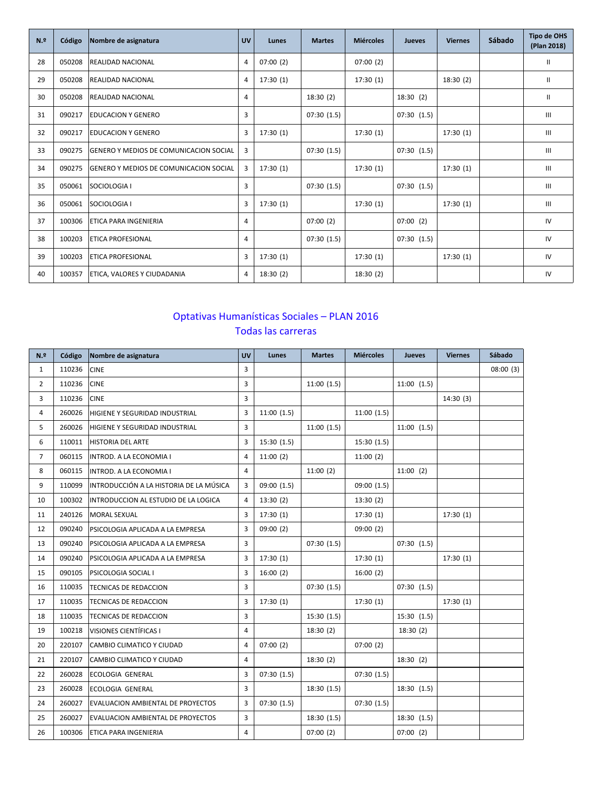| N <sub>2</sub> | Código | Nombre de asignatura                   | <b>UV</b> | Lunes    | <b>Martes</b> | <b>Miércoles</b> | <b>Jueves</b> | <b>Viernes</b> | Sábado | <b>Tipo de OHS</b><br>(Plan 2018)  |
|----------------|--------|----------------------------------------|-----------|----------|---------------|------------------|---------------|----------------|--------|------------------------------------|
| 28             | 050208 | <b>REALIDAD NACIONAL</b>               | 4         | 07:00(2) |               | 07:00(2)         |               |                |        | Ш                                  |
| 29             | 050208 | REALIDAD NACIONAL                      | 4         | 17:30(1) |               | 17:30(1)         |               | 18:30(2)       |        | Ш                                  |
| 30             | 050208 | REALIDAD NACIONAL                      | 4         |          | 18:30(2)      |                  | 18:30(2)      |                |        | Ш                                  |
| 31             | 090217 | EDUCACION Y GENERO                     | 3         |          | 07:30(1.5)    |                  | 07:30(1.5)    |                |        | Ш                                  |
| 32             | 090217 | <b>IEDUCACION Y GENERO</b>             | 3         | 17:30(1) |               | 17:30(1)         |               | 17:30(1)       |        | $\mathbf{III}$                     |
| 33             | 090275 | GENERO Y MEDIOS DE COMUNICACION SOCIAL | 3         |          | 07:30(1.5)    |                  | 07:30(1.5)    |                |        | $\mathbf{III}$                     |
| 34             | 090275 | GENERO Y MEDIOS DE COMUNICACION SOCIAL | 3         | 17:30(1) |               | 17:30(1)         |               | 17:30(1)       |        | $\ensuremath{\mathsf{III}}\xspace$ |
| 35             | 050061 | SOCIOLOGIA I                           | 3         |          | 07:30(1.5)    |                  | 07:30(1.5)    |                |        | $\mathbf{III}$                     |
| 36             | 050061 | SOCIOLOGIA I                           | 3         | 17:30(1) |               | 17:30(1)         |               | 17:30(1)       |        | $\ensuremath{\mathsf{III}}\xspace$ |
| 37             | 100306 | ETICA PARA INGENIERIA                  | 4         |          | 07:00(2)      |                  | 07:00(2)      |                |        | IV                                 |
| 38             | 100203 | <b>ETICA PROFESIONAL</b>               | 4         |          | 07:30(1.5)    |                  | 07:30(1.5)    |                |        | IV                                 |
| 39             | 100203 | <b>ETICA PROFESIONAL</b>               | 3         | 17:30(1) |               | 17:30(1)         |               | 17:30(1)       |        | IV                                 |
| 40             | 100357 | ETICA, VALORES Y CIUDADANIA            | 4         | 18:30(2) |               | 18:30(2)         |               |                |        | IV                                 |

### Optativas Humanísticas Sociales – PLAN 2016 Todas las carreras

| N <sub>2</sub> | Código | Nombre de asignatura                    | <b>UV</b>      | Lunes      | <b>Martes</b> | <b>Miércoles</b> | Jueves      | <b>Viernes</b> | Sábado   |
|----------------|--------|-----------------------------------------|----------------|------------|---------------|------------------|-------------|----------------|----------|
| $\mathbf{1}$   | 110236 | <b>CINE</b>                             | 3              |            |               |                  |             |                | 08:00(3) |
| $\overline{2}$ | 110236 | <b>CINE</b>                             | 3              |            | 11:00(1.5)    |                  | 11:00(1.5)  |                |          |
| 3              | 110236 | <b>CINE</b>                             | 3              |            |               |                  |             | 14:30(3)       |          |
| 4              | 260026 | HIGIENE Y SEGURIDAD INDUSTRIAL          | 3              | 11:00(1.5) |               | 11:00(1.5)       |             |                |          |
| 5              | 260026 | HIGIENE Y SEGURIDAD INDUSTRIAL          | 3              |            | 11:00(1.5)    |                  | 11:00(1.5)  |                |          |
| 6              | 110011 | <b>HISTORIA DEL ARTE</b>                | 3              | 15:30(1.5) |               | 15:30(1.5)       |             |                |          |
| $7^{\circ}$    | 060115 | INTROD. A LA ECONOMIA I                 | 4              | 11:00(2)   |               | 11:00(2)         |             |                |          |
| 8              | 060115 | INTROD. A LA ECONOMIA I                 | 4              |            | 11:00(2)      |                  | 11:00(2)    |                |          |
| 9              | 110099 | INTRODUCCIÓN A LA HISTORIA DE LA MÚSICA | 3              | 09:00(1.5) |               | 09:00(1.5)       |             |                |          |
| 10             | 100302 | INTRODUCCION AL ESTUDIO DE LA LOGICA    | 4              | 13:30(2)   |               | 13:30(2)         |             |                |          |
| 11             | 240126 | MORAL SEXUAL                            | 3              | 17:30(1)   |               | 17:30(1)         |             | 17:30(1)       |          |
| 12             | 090240 | PSICOLOGIA APLICADA A LA EMPRESA        | 3              | 09:00(2)   |               | 09:00(2)         |             |                |          |
| 13             | 090240 | PSICOLOGIA APLICADA A LA EMPRESA        | $\overline{3}$ |            | 07:30(1.5)    |                  | 07:30(1.5)  |                |          |
| 14             | 090240 | PSICOLOGIA APLICADA A LA EMPRESA        | 3              | 17:30(1)   |               | 17:30(1)         |             | 17:30(1)       |          |
| 15             | 090105 | PSICOLOGIA SOCIAL I                     | 3              | 16:00(2)   |               | 16:00(2)         |             |                |          |
| 16             | 110035 | TECNICAS DE REDACCION                   | 3              |            | 07:30(1.5)    |                  | 07:30(1.5)  |                |          |
| 17             | 110035 | <b>TECNICAS DE REDACCION</b>            | 3              | 17:30(1)   |               | 17:30(1)         |             | 17:30(1)       |          |
| 18             | 110035 | TECNICAS DE REDACCION                   | 3              |            | 15:30(1.5)    |                  | 15:30 (1.5) |                |          |
| 19             | 100218 | VISIONES CIENTÍFICAS I                  | 4              |            | 18:30(2)      |                  | 18:30(2)    |                |          |
| 20             | 220107 | CAMBIO CLIMATICO Y CIUDAD               | 4              | 07:00(2)   |               | 07:00(2)         |             |                |          |
| 21             | 220107 | CAMBIO CLIMATICO Y CIUDAD               | 4              |            | 18:30(2)      |                  | 18:30(2)    |                |          |
| 22             | 260028 | ECOLOGIA GENERAL                        | 3              | 07:30(1.5) |               | 07:30(1.5)       |             |                |          |
| 23             | 260028 | ECOLOGIA GENERAL                        | 3              |            | 18:30(1.5)    |                  | 18:30 (1.5) |                |          |
| 24             | 260027 | EVALUACION AMBIENTAL DE PROYECTOS       | 3              | 07:30(1.5) |               | 07:30(1.5)       |             |                |          |
| 25             | 260027 | EVALUACION AMBIENTAL DE PROYECTOS       | 3              |            | 18:30(1.5)    |                  | 18:30 (1.5) |                |          |
| 26             | 100306 | ETICA PARA INGENIERIA                   | $\overline{4}$ |            | 07:00(2)      |                  | 07:00(2)    |                |          |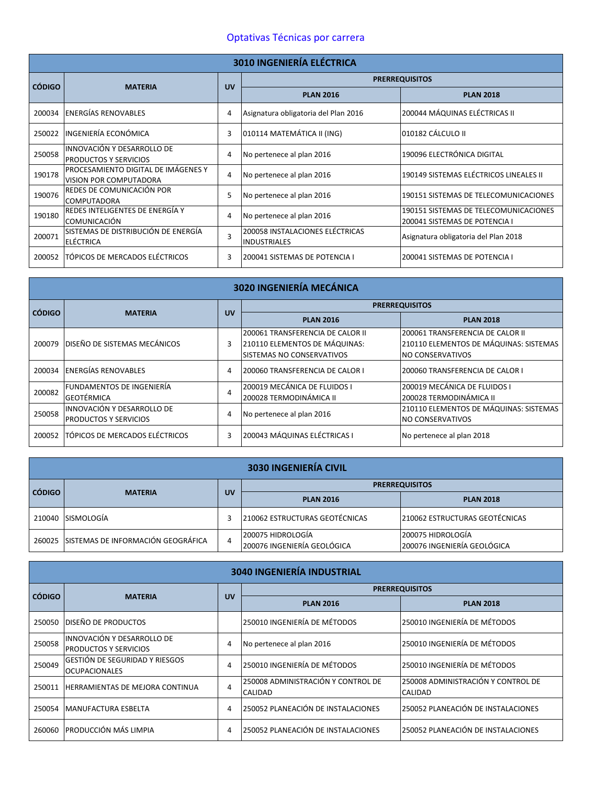### Optativas Técnicas por carrera

|               | <b>3010 INGENIERÍA ELÉCTRICA</b>                                     |           |                                                        |                                                                        |  |  |  |  |
|---------------|----------------------------------------------------------------------|-----------|--------------------------------------------------------|------------------------------------------------------------------------|--|--|--|--|
| <b>CÓDIGO</b> |                                                                      | <b>UV</b> |                                                        | <b>PRERREQUISITOS</b>                                                  |  |  |  |  |
|               | <b>MATERIA</b>                                                       |           | <b>PLAN 2016</b>                                       | <b>PLAN 2018</b>                                                       |  |  |  |  |
| 200034        | <b>ENERGÍAS RENOVABLES</b>                                           | 4         | Asignatura obligatoria del Plan 2016                   | 200044 MÁQUINAS ELÉCTRICAS II                                          |  |  |  |  |
| 250022        | INGENIERÍA ECONÓMICA                                                 | 3         | 010114 MATEMÁTICA II (ING)                             | 010182 CÁLCULO II                                                      |  |  |  |  |
| 250058        | INNOVACIÓN Y DESARROLLO DE<br><b>PRODUCTOS Y SERVICIOS</b>           | 4         | No pertenece al plan 2016                              | 190096 ELECTRÓNICA DIGITAL                                             |  |  |  |  |
| 190178        | PROCESAMIENTO DIGITAL DE IMÁGENES Y<br><b>VISION POR COMPUTADORA</b> | 4         | No pertenece al plan 2016                              | 190149 SISTEMAS ELÉCTRICOS LINEALES II                                 |  |  |  |  |
| 190076        | REDES DE COMUNICACIÓN POR<br><b>COMPUTADORA</b>                      | 5         | No pertenece al plan 2016                              | 190151 SISTEMAS DE TELECOMUNICACIONES                                  |  |  |  |  |
| 190180        | REDES INTELIGENTES DE ENERGÍA Y<br> COMUNICACIÓN                     | 4         | No pertenece al plan 2016                              | 190151 SISTEMAS DE TELECOMUNICACIONES<br>200041 SISTEMAS DE POTENCIA I |  |  |  |  |
| 200071        | SISTEMAS DE DISTRIBUCIÓN DE ENERGÍA<br>ELÉCTRICA                     | 3         | 200058 INSTALACIONES ELÉCTRICAS<br><b>INDUSTRIALES</b> | Asignatura obligatoria del Plan 2018                                   |  |  |  |  |
| 200052        | TÓPICOS DE MERCADOS ELÉCTRICOS                                       | 3         | 200041 SISTEMAS DE POTENCIA I                          | 200041 SISTEMAS DE POTENCIA I                                          |  |  |  |  |

|               | 3020 INGENIERÍA MECÁNICA       |           |                                  |                                        |  |  |  |  |
|---------------|--------------------------------|-----------|----------------------------------|----------------------------------------|--|--|--|--|
|               | <b>MATERIA</b>                 | <b>UV</b> |                                  | <b>PRERREQUISITOS</b>                  |  |  |  |  |
| <b>CÓDIGO</b> |                                |           | <b>PLAN 2016</b>                 | <b>PLAN 2018</b>                       |  |  |  |  |
|               |                                |           | 200061 TRANSFERENCIA DE CALOR II | 200061 TRANSFERENCIA DE CALOR II       |  |  |  |  |
| 200079        | DISEÑO DE SISTEMAS MECÁNICOS   | 3         | 210110 ELEMENTOS DE MÁQUINAS:    | 210110 ELEMENTOS DE MÁQUINAS: SISTEMAS |  |  |  |  |
|               |                                |           | SISTEMAS NO CONSERVATIVOS        | <b>NO CONSERVATIVOS</b>                |  |  |  |  |
| 200034        | <b>ENERGÍAS RENOVABLES</b>     | 4         | 200060 TRANSFERENCIA DE CALOR I  | 200060 TRANSFERENCIA DE CALOR I        |  |  |  |  |
| 200082        | FUNDAMENTOS DE INGENIERÍA      | 4         | 200019 MECÁNICA DE FLUIDOS I     | 200019 MECÁNICA DE FLUIDOS I           |  |  |  |  |
|               | <b>GEOTÉRMICA</b>              |           | 200028 TERMODINÁMICA II          | 200028 TERMODINÁMICA II                |  |  |  |  |
| 250058        | INNOVACIÓN Y DESARROLLO DE     | 4         | No pertenece al plan 2016        | 210110 ELEMENTOS DE MÁQUINAS: SISTEMAS |  |  |  |  |
|               | <b>PRODUCTOS Y SERVICIOS</b>   |           |                                  | NO CONSERVATIVOS                       |  |  |  |  |
| 200052        | TÓPICOS DE MERCADOS ELÉCTRICOS | 3         | 200043 MÁQUINAS ELÉCTRICAS I     | No pertenece al plan 2018              |  |  |  |  |

|               | <b>3030 INGENIERÍA CIVIL</b>              |   |                                                  |                                                  |  |  |  |  |
|---------------|-------------------------------------------|---|--------------------------------------------------|--------------------------------------------------|--|--|--|--|
|               | <b>MATERIA</b>                            |   |                                                  | <b>PRERREQUISITOS</b>                            |  |  |  |  |
| <b>CÓDIGO</b> |                                           |   | <b>PLAN 2016</b>                                 | <b>PLAN 2018</b>                                 |  |  |  |  |
| 210040        | <b>SISMOLOGÍA</b>                         |   | 210062 ESTRUCTURAS GEOTÉCNICAS                   | 210062 ESTRUCTURAS GEOTÉCNICAS                   |  |  |  |  |
|               | 260025 SISTEMAS DE INFORMACIÓN GEOGRÁFICA | 4 | 200075 HIDROLOGÍA<br>200076 INGENIERÍA GEOLÓGICA | 200075 HIDROLOGÍA<br>200076 INGENIERÍA GEOLÓGICA |  |  |  |  |

|               | <b>3040 INGENIERÍA INDUSTRIAL</b>                          |    |                                                      |                                               |  |  |  |  |  |
|---------------|------------------------------------------------------------|----|------------------------------------------------------|-----------------------------------------------|--|--|--|--|--|
| <b>CÓDIGO</b> | <b>MATERIA</b>                                             | UV |                                                      | <b>PRERREQUISITOS</b>                         |  |  |  |  |  |
|               |                                                            |    | <b>PLAN 2016</b>                                     | <b>PLAN 2018</b>                              |  |  |  |  |  |
| 250050        | <b>DISEÑO DE PRODUCTOS</b>                                 |    | 250010 INGENIERÍA DE MÉTODOS                         | 250010 INGENIERÍA DE MÉTODOS                  |  |  |  |  |  |
| 250058        | INNOVACIÓN Y DESARROLLO DE<br><b>PRODUCTOS Y SERVICIOS</b> | 4  | No pertenece al plan 2016                            | 250010 INGENIERÍA DE MÉTODOS                  |  |  |  |  |  |
| 250049        | GESTIÓN DE SEGURIDAD Y RIESGOS<br><b>OCUPACIONALES</b>     | 4  | 250010 INGENIERÍA DE MÉTODOS                         | 250010 INGENIERÍA DE MÉTODOS                  |  |  |  |  |  |
| 250011        | HERRAMIENTAS DE MEJORA CONTINUA                            | 4  | 250008 ADMINISTRACIÓN Y CONTROL DE<br><b>CALIDAD</b> | 250008 ADMINISTRACIÓN Y CONTROL DE<br>CALIDAD |  |  |  |  |  |
| 250054        | <b>MANUFACTURA ESBELTA</b>                                 | 4  | 250052 PLANEACIÓN DE INSTALACIONES                   | 250052 PLANEACIÓN DE INSTALACIONES            |  |  |  |  |  |
| 260060        | <b>PRODUCCIÓN MÁS LIMPIA</b>                               | 4  | 250052 PLANEACIÓN DE INSTALACIONES                   | 250052 PLANEACIÓN DE INSTALACIONES            |  |  |  |  |  |